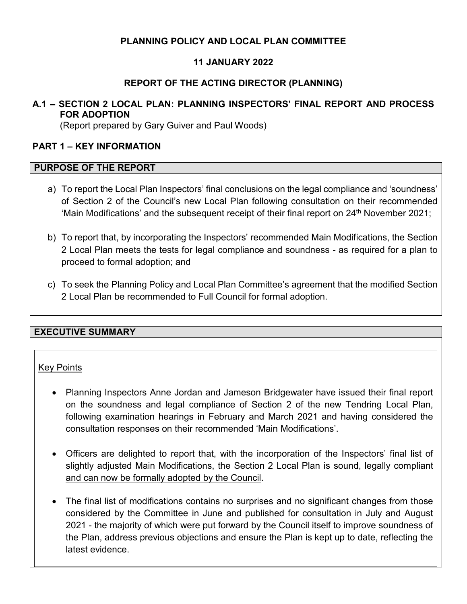# **PLANNING POLICY AND LOCAL PLAN COMMITTEE**

# **11 JANUARY 2022**

# **REPORT OF THE ACTING DIRECTOR (PLANNING)**

# **A.1 – SECTION 2 LOCAL PLAN: PLANNING INSPECTORS' FINAL REPORT AND PROCESS FOR ADOPTION**

(Report prepared by Gary Guiver and Paul Woods)

## **PART 1 – KEY INFORMATION**

#### **PURPOSE OF THE REPORT**

- a) To report the Local Plan Inspectors' final conclusions on the legal compliance and 'soundness' of Section 2 of the Council's new Local Plan following consultation on their recommended 'Main Modifications' and the subsequent receipt of their final report on  $24<sup>th</sup>$  November 2021;
- b) To report that, by incorporating the Inspectors' recommended Main Modifications, the Section 2 Local Plan meets the tests for legal compliance and soundness - as required for a plan to proceed to formal adoption; and
- c) To seek the Planning Policy and Local Plan Committee's agreement that the modified Section 2 Local Plan be recommended to Full Council for formal adoption.

#### **EXECUTIVE SUMMARY**

#### Key Points

- Planning Inspectors Anne Jordan and Jameson Bridgewater have issued their final report on the soundness and legal compliance of Section 2 of the new Tendring Local Plan, following examination hearings in February and March 2021 and having considered the consultation responses on their recommended 'Main Modifications'.
- Officers are delighted to report that, with the incorporation of the Inspectors' final list of slightly adjusted Main Modifications, the Section 2 Local Plan is sound, legally compliant and can now be formally adopted by the Council.
- The final list of modifications contains no surprises and no significant changes from those considered by the Committee in June and published for consultation in July and August 2021 - the majority of which were put forward by the Council itself to improve soundness of the Plan, address previous objections and ensure the Plan is kept up to date, reflecting the latest evidence.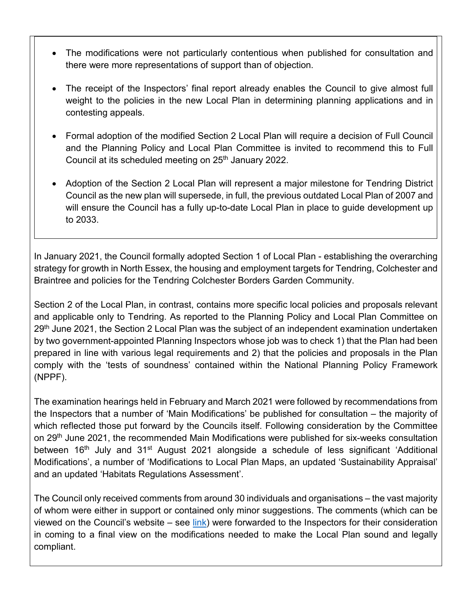- The modifications were not particularly contentious when published for consultation and there were more representations of support than of objection.
- The receipt of the Inspectors' final report already enables the Council to give almost full weight to the policies in the new Local Plan in determining planning applications and in contesting appeals.
- Formal adoption of the modified Section 2 Local Plan will require a decision of Full Council and the Planning Policy and Local Plan Committee is invited to recommend this to Full Council at its scheduled meeting on 25<sup>th</sup> January 2022.
- Adoption of the Section 2 Local Plan will represent a major milestone for Tendring District Council as the new plan will supersede, in full, the previous outdated Local Plan of 2007 and will ensure the Council has a fully up-to-date Local Plan in place to guide development up to 2033.

In January 2021, the Council formally adopted Section 1 of Local Plan - establishing the overarching strategy for growth in North Essex, the housing and employment targets for Tendring, Colchester and Braintree and policies for the Tendring Colchester Borders Garden Community.

Section 2 of the Local Plan, in contrast, contains more specific local policies and proposals relevant and applicable only to Tendring. As reported to the Planning Policy and Local Plan Committee on 29<sup>th</sup> June 2021, the Section 2 Local Plan was the subject of an independent examination undertaken by two government-appointed Planning Inspectors whose job was to check 1) that the Plan had been prepared in line with various legal requirements and 2) that the policies and proposals in the Plan comply with the 'tests of soundness' contained within the National Planning Policy Framework (NPPF).

The examination hearings held in February and March 2021 were followed by recommendations from the Inspectors that a number of 'Main Modifications' be published for consultation – the majority of which reflected those put forward by the Councils itself. Following consideration by the Committee on 29th June 2021, the recommended Main Modifications were published for six-weeks consultation between 16<sup>th</sup> July and 31<sup>st</sup> August 2021 alongside a schedule of less significant 'Additional Modifications', a number of 'Modifications to Local Plan Maps, an updated 'Sustainability Appraisal' and an updated 'Habitats Regulations Assessment'.

The Council only received comments from around 30 individuals and organisations – the vast majority of whom were either in support or contained only minor suggestions. The comments (which can be viewed on the Council's website – see [link\)](https://www.tendringdc.gov.uk/planning/local-plans-and-policies/view-our-local-plan/section-2-examination/section-2-0) were forwarded to the Inspectors for their consideration in coming to a final view on the modifications needed to make the Local Plan sound and legally compliant.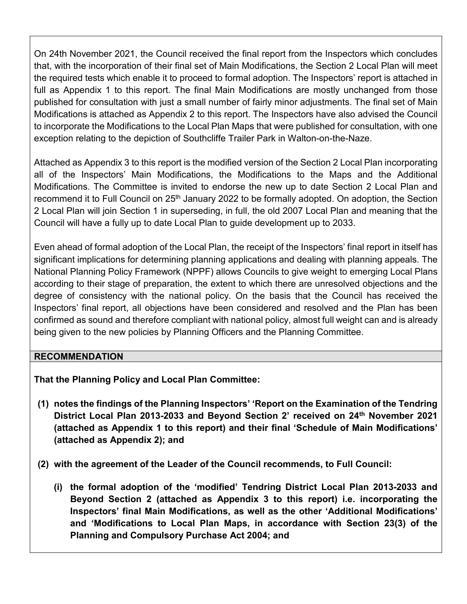On 24th November 2021, the Council received the final report from the Inspectors which concludes that, with the incorporation of their final set of Main Modifications, the Section 2 Local Plan will meet the required tests which enable it to proceed to formal adoption. The Inspectors' report is attached in full as Appendix 1 to this report. The final Main Modifications are mostly unchanged from those published for consultation with just a small number of fairly minor adjustments. The final set of Main Modifications is attached as Appendix 2 to this report. The Inspectors have also advised the Council to incorporate the Modifications to the Local Plan Maps that were published for consultation, with one exception relating to the depiction of Southcliffe Trailer Park in Walton-on-the-Naze.

Attached as Appendix 3 to this report is the modified version of the Section 2 Local Plan incorporating all of the Inspectors' Main Modifications, the Modifications to the Maps and the Additional Modifications. The Committee is invited to endorse the new up to date Section 2 Local Plan and recommend it to Full Council on 25<sup>th</sup> January 2022 to be formally adopted. On adoption, the Section 2 Local Plan will join Section 1 in superseding, in full, the old 2007 Local Plan and meaning that the Council will have a fully up to date Local Plan to guide development up to 2033.

Even ahead of formal adoption of the Local Plan, the receipt of the Inspectors' final report in itself has significant implications for determining planning applications and dealing with planning appeals. The National Planning Policy Framework (NPPF) allows Councils to give weight to emerging Local Plans according to their stage of preparation, the extent to which there are unresolved objections and the degree of consistency with the national policy. On the basis that the Council has received the Inspectors' final report, all objections have been considered and resolved and the Plan has been confirmed as sound and therefore compliant with national policy, almost full weight can and is already being given to the new policies by Planning Officers and the Planning Committee.

## **RECOMMENDATION**

**That the Planning Policy and Local Plan Committee:** 

- **(1) notes the findings of the Planning Inspectors' 'Report on the Examination of the Tendring District Local Plan 2013-2033 and Beyond Section 2' received on 24th November 2021 (attached as Appendix 1 to this report) and their final 'Schedule of Main Modifications' (attached as Appendix 2); and**
- **(2) with the agreement of the Leader of the Council recommends, to Full Council:** 
	- **(i) the formal adoption of the 'modified' Tendring District Local Plan 2013-2033 and Beyond Section 2 (attached as Appendix 3 to this report) i.e. incorporating the Inspectors' final Main Modifications, as well as the other 'Additional Modifications' and 'Modifications to Local Plan Maps, in accordance with Section 23(3) of the Planning and Compulsory Purchase Act 2004; and**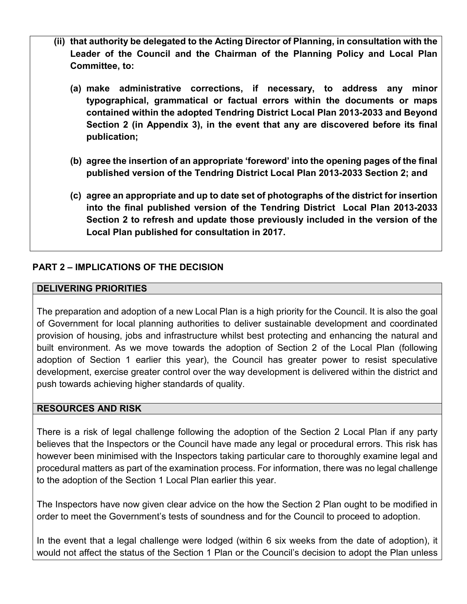- **(ii) that authority be delegated to the Acting Director of Planning, in consultation with the Leader of the Council and the Chairman of the Planning Policy and Local Plan Committee, to:** 
	- **(a) make administrative corrections, if necessary, to address any minor typographical, grammatical or factual errors within the documents or maps contained within the adopted Tendring District Local Plan 2013-2033 and Beyond Section 2 (in Appendix 3), in the event that any are discovered before its final publication;**
	- **(b) agree the insertion of an appropriate 'foreword' into the opening pages of the final published version of the Tendring District Local Plan 2013-2033 Section 2; and**
	- **(c) agree an appropriate and up to date set of photographs of the district for insertion into the final published version of the Tendring District Local Plan 2013-2033 Section 2 to refresh and update those previously included in the version of the Local Plan published for consultation in 2017.**

# **PART 2 – IMPLICATIONS OF THE DECISION**

### **DELIVERING PRIORITIES**

The preparation and adoption of a new Local Plan is a high priority for the Council. It is also the goal of Government for local planning authorities to deliver sustainable development and coordinated provision of housing, jobs and infrastructure whilst best protecting and enhancing the natural and built environment. As we move towards the adoption of Section 2 of the Local Plan (following adoption of Section 1 earlier this year), the Council has greater power to resist speculative development, exercise greater control over the way development is delivered within the district and push towards achieving higher standards of quality.

#### **RESOURCES AND RISK**

There is a risk of legal challenge following the adoption of the Section 2 Local Plan if any party believes that the Inspectors or the Council have made any legal or procedural errors. This risk has however been minimised with the Inspectors taking particular care to thoroughly examine legal and procedural matters as part of the examination process. For information, there was no legal challenge to the adoption of the Section 1 Local Plan earlier this year.

The Inspectors have now given clear advice on the how the Section 2 Plan ought to be modified in order to meet the Government's tests of soundness and for the Council to proceed to adoption.

In the event that a legal challenge were lodged (within 6 six weeks from the date of adoption), it would not affect the status of the Section 1 Plan or the Council's decision to adopt the Plan unless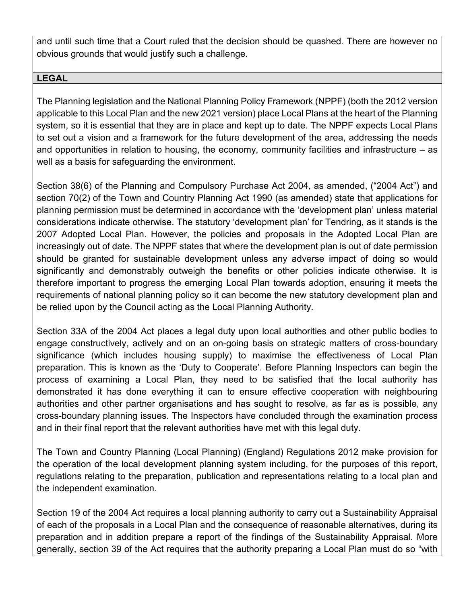and until such time that a Court ruled that the decision should be quashed. There are however no obvious grounds that would justify such a challenge.

### **LEGAL**

The Planning legislation and the National Planning Policy Framework (NPPF) (both the 2012 version applicable to this Local Plan and the new 2021 version) place Local Plans at the heart of the Planning system, so it is essential that they are in place and kept up to date. The NPPF expects Local Plans to set out a vision and a framework for the future development of the area, addressing the needs and opportunities in relation to housing, the economy, community facilities and infrastructure – as well as a basis for safeguarding the environment.

Section 38(6) of the Planning and Compulsory Purchase Act 2004, as amended, ("2004 Act") and section 70(2) of the Town and Country Planning Act 1990 (as amended) state that applications for planning permission must be determined in accordance with the 'development plan' unless material considerations indicate otherwise. The statutory 'development plan' for Tendring, as it stands is the 2007 Adopted Local Plan. However, the policies and proposals in the Adopted Local Plan are increasingly out of date. The NPPF states that where the development plan is out of date permission should be granted for sustainable development unless any adverse impact of doing so would significantly and demonstrably outweigh the benefits or other policies indicate otherwise. It is therefore important to progress the emerging Local Plan towards adoption, ensuring it meets the requirements of national planning policy so it can become the new statutory development plan and be relied upon by the Council acting as the Local Planning Authority.

Section 33A of the 2004 Act places a legal duty upon local authorities and other public bodies to engage constructively, actively and on an on-going basis on strategic matters of cross-boundary significance (which includes housing supply) to maximise the effectiveness of Local Plan preparation. This is known as the 'Duty to Cooperate'. Before Planning Inspectors can begin the process of examining a Local Plan, they need to be satisfied that the local authority has demonstrated it has done everything it can to ensure effective cooperation with neighbouring authorities and other partner organisations and has sought to resolve, as far as is possible, any cross-boundary planning issues. The Inspectors have concluded through the examination process and in their final report that the relevant authorities have met with this legal duty.

The Town and Country Planning (Local Planning) (England) Regulations 2012 make provision for the operation of the local development planning system including, for the purposes of this report, regulations relating to the preparation, publication and representations relating to a local plan and the independent examination.

Section 19 of the 2004 Act requires a local planning authority to carry out a Sustainability Appraisal of each of the proposals in a Local Plan and the consequence of reasonable alternatives, during its preparation and in addition prepare a report of the findings of the Sustainability Appraisal. More generally, section 39 of the Act requires that the authority preparing a Local Plan must do so "with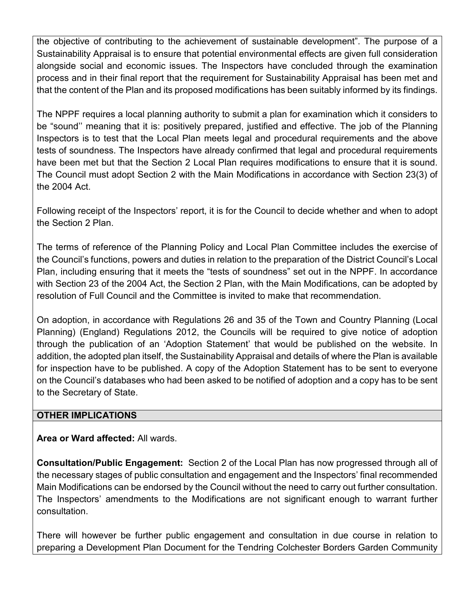the objective of contributing to the achievement of sustainable development". The purpose of a Sustainability Appraisal is to ensure that potential environmental effects are given full consideration alongside social and economic issues. The Inspectors have concluded through the examination process and in their final report that the requirement for Sustainability Appraisal has been met and that the content of the Plan and its proposed modifications has been suitably informed by its findings.

The NPPF requires a local planning authority to submit a plan for examination which it considers to be "sound'' meaning that it is: positively prepared, justified and effective. The job of the Planning Inspectors is to test that the Local Plan meets legal and procedural requirements and the above tests of soundness. The Inspectors have already confirmed that legal and procedural requirements have been met but that the Section 2 Local Plan requires modifications to ensure that it is sound. The Council must adopt Section 2 with the Main Modifications in accordance with Section 23(3) of the 2004 Act.

Following receipt of the Inspectors' report, it is for the Council to decide whether and when to adopt the Section 2 Plan.

The terms of reference of the Planning Policy and Local Plan Committee includes the exercise of the Council's functions, powers and duties in relation to the preparation of the District Council's Local Plan, including ensuring that it meets the "tests of soundness" set out in the NPPF. In accordance with Section 23 of the 2004 Act, the Section 2 Plan, with the Main Modifications, can be adopted by resolution of Full Council and the Committee is invited to make that recommendation.

On adoption, in accordance with Regulations 26 and 35 of the Town and Country Planning (Local Planning) (England) Regulations 2012, the Councils will be required to give notice of adoption through the publication of an 'Adoption Statement' that would be published on the website. In addition, the adopted plan itself, the Sustainability Appraisal and details of where the Plan is available for inspection have to be published. A copy of the Adoption Statement has to be sent to everyone on the Council's databases who had been asked to be notified of adoption and a copy has to be sent to the Secretary of State.

## **OTHER IMPLICATIONS**

**Area or Ward affected:** All wards.

**Consultation/Public Engagement:** Section 2 of the Local Plan has now progressed through all of the necessary stages of public consultation and engagement and the Inspectors' final recommended Main Modifications can be endorsed by the Council without the need to carry out further consultation. The Inspectors' amendments to the Modifications are not significant enough to warrant further consultation.

There will however be further public engagement and consultation in due course in relation to preparing a Development Plan Document for the Tendring Colchester Borders Garden Community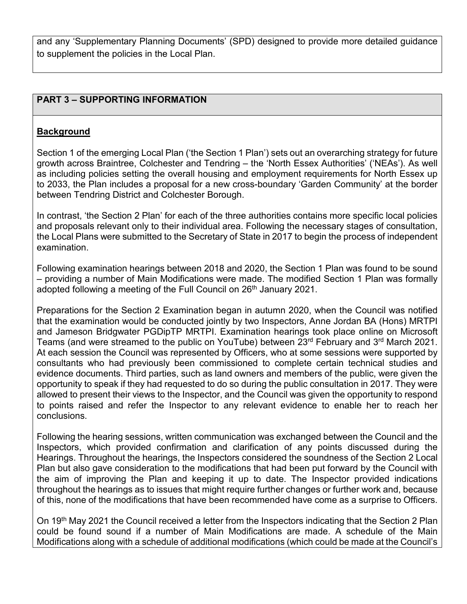and any 'Supplementary Planning Documents' (SPD) designed to provide more detailed guidance to supplement the policies in the Local Plan.

### **PART 3 – SUPPORTING INFORMATION**

### **Background**

Section 1 of the emerging Local Plan ('the Section 1 Plan') sets out an overarching strategy for future growth across Braintree, Colchester and Tendring – the 'North Essex Authorities' ('NEAs'). As well as including policies setting the overall housing and employment requirements for North Essex up to 2033, the Plan includes a proposal for a new cross-boundary 'Garden Community' at the border between Tendring District and Colchester Borough.

In contrast, 'the Section 2 Plan' for each of the three authorities contains more specific local policies and proposals relevant only to their individual area. Following the necessary stages of consultation, the Local Plans were submitted to the Secretary of State in 2017 to begin the process of independent examination.

Following examination hearings between 2018 and 2020, the Section 1 Plan was found to be sound – providing a number of Main Modifications were made. The modified Section 1 Plan was formally adopted following a meeting of the Full Council on 26<sup>th</sup> January 2021.

Preparations for the Section 2 Examination began in autumn 2020, when the Council was notified that the examination would be conducted jointly by two Inspectors, Anne Jordan BA (Hons) MRTPI and Jameson Bridgwater PGDipTP MRTPI. Examination hearings took place online on Microsoft Teams (and were streamed to the public on YouTube) between 23rd February and 3rd March 2021. At each session the Council was represented by Officers, who at some sessions were supported by consultants who had previously been commissioned to complete certain technical studies and evidence documents. Third parties, such as land owners and members of the public, were given the opportunity to speak if they had requested to do so during the public consultation in 2017. They were allowed to present their views to the Inspector, and the Council was given the opportunity to respond to points raised and refer the Inspector to any relevant evidence to enable her to reach her conclusions.

Following the hearing sessions, written communication was exchanged between the Council and the Inspectors, which provided confirmation and clarification of any points discussed during the Hearings. Throughout the hearings, the Inspectors considered the soundness of the Section 2 Local Plan but also gave consideration to the modifications that had been put forward by the Council with the aim of improving the Plan and keeping it up to date. The Inspector provided indications throughout the hearings as to issues that might require further changes or further work and, because of this, none of the modifications that have been recommended have come as a surprise to Officers.

On 19<sup>th</sup> May 2021 the Council received a letter from the Inspectors indicating that the Section 2 Plan could be found sound if a number of Main Modifications are made. A schedule of the Main Modifications along with a schedule of additional modifications (which could be made at the Council's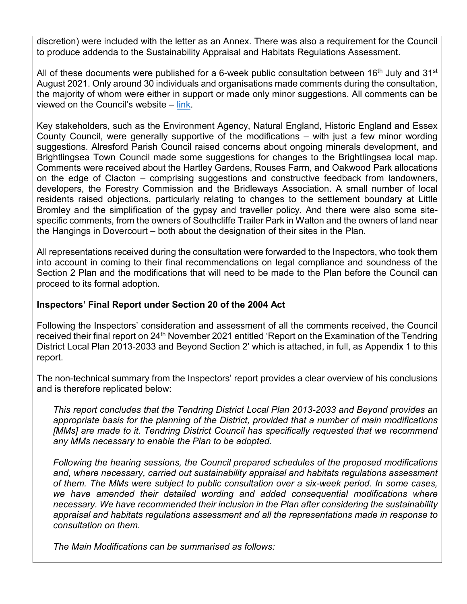discretion) were included with the letter as an Annex. There was also a requirement for the Council to produce addenda to the Sustainability Appraisal and Habitats Regulations Assessment.

All of these documents were published for a 6-week public consultation between 16<sup>th</sup> July and 31<sup>st</sup> August 2021. Only around 30 individuals and organisations made comments during the consultation, the majority of whom were either in support or made only minor suggestions. All comments can be viewed on the Council's website – [link.](https://www.tendringdc.gov.uk/planning/local-plans-and-policies/view-our-local-plan/section-2-examination/section-2-0)

Key stakeholders, such as the Environment Agency, Natural England, Historic England and Essex County Council, were generally supportive of the modifications – with just a few minor wording suggestions. Alresford Parish Council raised concerns about ongoing minerals development, and Brightlingsea Town Council made some suggestions for changes to the Brightlingsea local map. Comments were received about the Hartley Gardens, Rouses Farm, and Oakwood Park allocations on the edge of Clacton – comprising suggestions and constructive feedback from landowners, developers, the Forestry Commission and the Bridleways Association. A small number of local residents raised objections, particularly relating to changes to the settlement boundary at Little Bromley and the simplification of the gypsy and traveller policy. And there were also some sitespecific comments, from the owners of Southcliffe Trailer Park in Walton and the owners of land near the Hangings in Dovercourt – both about the designation of their sites in the Plan.

All representations received during the consultation were forwarded to the Inspectors, who took them into account in coming to their final recommendations on legal compliance and soundness of the Section 2 Plan and the modifications that will need to be made to the Plan before the Council can proceed to its formal adoption.

### **Inspectors' Final Report under Section 20 of the 2004 Act**

Following the Inspectors' consideration and assessment of all the comments received, the Council received their final report on 24<sup>th</sup> November 2021 entitled 'Report on the Examination of the Tendring District Local Plan 2013-2033 and Beyond Section 2' which is attached, in full, as Appendix 1 to this report.

The non-technical summary from the Inspectors' report provides a clear overview of his conclusions and is therefore replicated below:

*This report concludes that the Tendring District Local Plan 2013-2033 and Beyond provides an appropriate basis for the planning of the District, provided that a number of main modifications [MMs] are made to it. Tendring District Council has specifically requested that we recommend any MMs necessary to enable the Plan to be adopted.* 

*Following the hearing sessions, the Council prepared schedules of the proposed modifications and, where necessary, carried out sustainability appraisal and habitats regulations assessment of them. The MMs were subject to public consultation over a six-week period. In some cases, we have amended their detailed wording and added consequential modifications where necessary. We have recommended their inclusion in the Plan after considering the sustainability appraisal and habitats regulations assessment and all the representations made in response to consultation on them.* 

*The Main Modifications can be summarised as follows:*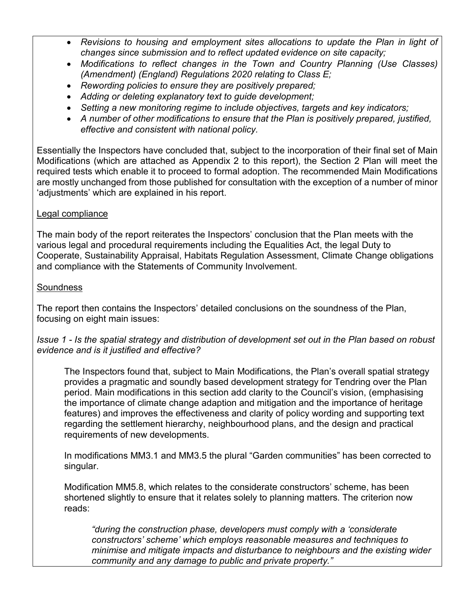- *Revisions to housing and employment sites allocations to update the Plan in light of changes since submission and to reflect updated evidence on site capacity;*
- *Modifications to reflect changes in the Town and Country Planning (Use Classes) (Amendment) (England) Regulations 2020 relating to Class E;*
- *Rewording policies to ensure they are positively prepared;*
- *Adding or deleting explanatory text to guide development;*
- *Setting a new monitoring regime to include objectives, targets and key indicators;*
- *A number of other modifications to ensure that the Plan is positively prepared, justified, effective and consistent with national policy.*

Essentially the Inspectors have concluded that, subject to the incorporation of their final set of Main Modifications (which are attached as Appendix 2 to this report), the Section 2 Plan will meet the required tests which enable it to proceed to formal adoption. The recommended Main Modifications are mostly unchanged from those published for consultation with the exception of a number of minor 'adjustments' which are explained in his report.

# Legal compliance

The main body of the report reiterates the Inspectors' conclusion that the Plan meets with the various legal and procedural requirements including the Equalities Act, the legal Duty to Cooperate, Sustainability Appraisal, Habitats Regulation Assessment, Climate Change obligations and compliance with the Statements of Community Involvement.

# **Soundness**

The report then contains the Inspectors' detailed conclusions on the soundness of the Plan, focusing on eight main issues:

## *Issue 1 - Is the spatial strategy and distribution of development set out in the Plan based on robust evidence and is it justified and effective?*

The Inspectors found that, subject to Main Modifications, the Plan's overall spatial strategy provides a pragmatic and soundly based development strategy for Tendring over the Plan period. Main modifications in this section add clarity to the Council's vision, (emphasising the importance of climate change adaption and mitigation and the importance of heritage features) and improves the effectiveness and clarity of policy wording and supporting text regarding the settlement hierarchy, neighbourhood plans, and the design and practical requirements of new developments.

In modifications MM3.1 and MM3.5 the plural "Garden communities" has been corrected to singular.

Modification MM5.8, which relates to the considerate constructors' scheme, has been shortened slightly to ensure that it relates solely to planning matters. The criterion now reads:

*"during the construction phase, developers must comply with a 'considerate constructors' scheme' which employs reasonable measures and techniques to minimise and mitigate impacts and disturbance to neighbours and the existing wider community and any damage to public and private property."*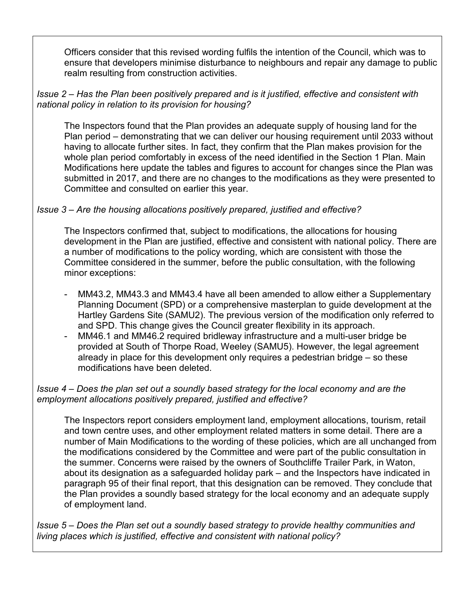Officers consider that this revised wording fulfils the intention of the Council, which was to ensure that developers minimise disturbance to neighbours and repair any damage to public realm resulting from construction activities.

### *Issue 2 – Has the Plan been positively prepared and is it justified, effective and consistent with national policy in relation to its provision for housing?*

The Inspectors found that the Plan provides an adequate supply of housing land for the Plan period – demonstrating that we can deliver our housing requirement until 2033 without having to allocate further sites. In fact, they confirm that the Plan makes provision for the whole plan period comfortably in excess of the need identified in the Section 1 Plan. Main Modifications here update the tables and figures to account for changes since the Plan was submitted in 2017, and there are no changes to the modifications as they were presented to Committee and consulted on earlier this year.

# *Issue 3 – Are the housing allocations positively prepared, justified and effective?*

The Inspectors confirmed that, subject to modifications, the allocations for housing development in the Plan are justified, effective and consistent with national policy. There are a number of modifications to the policy wording, which are consistent with those the Committee considered in the summer, before the public consultation, with the following minor exceptions:

- MM43.2, MM43.3 and MM43.4 have all been amended to allow either a Supplementary Planning Document (SPD) or a comprehensive masterplan to guide development at the Hartley Gardens Site (SAMU2). The previous version of the modification only referred to and SPD. This change gives the Council greater flexibility in its approach.
- MM46.1 and MM46.2 required bridleway infrastructure and a multi-user bridge be provided at South of Thorpe Road, Weeley (SAMU5). However, the legal agreement already in place for this development only requires a pedestrian bridge – so these modifications have been deleted.

## *Issue 4 – Does the plan set out a soundly based strategy for the local economy and are the employment allocations positively prepared, justified and effective?*

The Inspectors report considers employment land, employment allocations, tourism, retail and town centre uses, and other employment related matters in some detail. There are a number of Main Modifications to the wording of these policies, which are all unchanged from the modifications considered by the Committee and were part of the public consultation in the summer. Concerns were raised by the owners of Southcliffe Trailer Park, in Waton, about its designation as a safeguarded holiday park – and the Inspectors have indicated in paragraph 95 of their final report, that this designation can be removed. They conclude that the Plan provides a soundly based strategy for the local economy and an adequate supply of employment land.

*Issue 5 – Does the Plan set out a soundly based strategy to provide healthy communities and living places which is justified, effective and consistent with national policy?*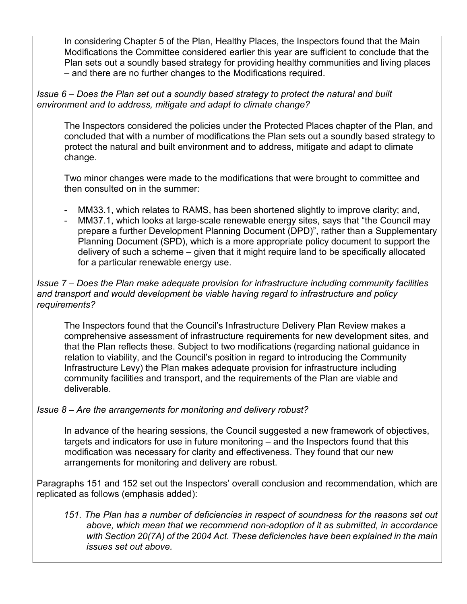In considering Chapter 5 of the Plan, Healthy Places, the Inspectors found that the Main Modifications the Committee considered earlier this year are sufficient to conclude that the Plan sets out a soundly based strategy for providing healthy communities and living places – and there are no further changes to the Modifications required.

### *Issue 6 – Does the Plan set out a soundly based strategy to protect the natural and built environment and to address, mitigate and adapt to climate change?*

The Inspectors considered the policies under the Protected Places chapter of the Plan, and concluded that with a number of modifications the Plan sets out a soundly based strategy to protect the natural and built environment and to address, mitigate and adapt to climate change.

Two minor changes were made to the modifications that were brought to committee and then consulted on in the summer:

- MM33.1, which relates to RAMS, has been shortened slightly to improve clarity; and,
- MM37.1, which looks at large-scale renewable energy sites, says that "the Council may prepare a further Development Planning Document (DPD)", rather than a Supplementary Planning Document (SPD), which is a more appropriate policy document to support the delivery of such a scheme – given that it might require land to be specifically allocated for a particular renewable energy use.

### *Issue 7 – Does the Plan make adequate provision for infrastructure including community facilities and transport and would development be viable having regard to infrastructure and policy requirements?*

The Inspectors found that the Council's Infrastructure Delivery Plan Review makes a comprehensive assessment of infrastructure requirements for new development sites, and that the Plan reflects these. Subject to two modifications (regarding national guidance in relation to viability, and the Council's position in regard to introducing the Community Infrastructure Levy) the Plan makes adequate provision for infrastructure including community facilities and transport, and the requirements of the Plan are viable and deliverable.

## *Issue 8 – Are the arrangements for monitoring and delivery robust?*

In advance of the hearing sessions, the Council suggested a new framework of objectives, targets and indicators for use in future monitoring – and the Inspectors found that this modification was necessary for clarity and effectiveness. They found that our new arrangements for monitoring and delivery are robust.

Paragraphs 151 and 152 set out the Inspectors' overall conclusion and recommendation, which are replicated as follows (emphasis added):

*151. The Plan has a number of deficiencies in respect of soundness for the reasons set out above, which mean that we recommend non-adoption of it as submitted, in accordance with Section 20(7A) of the 2004 Act. These deficiencies have been explained in the main issues set out above.*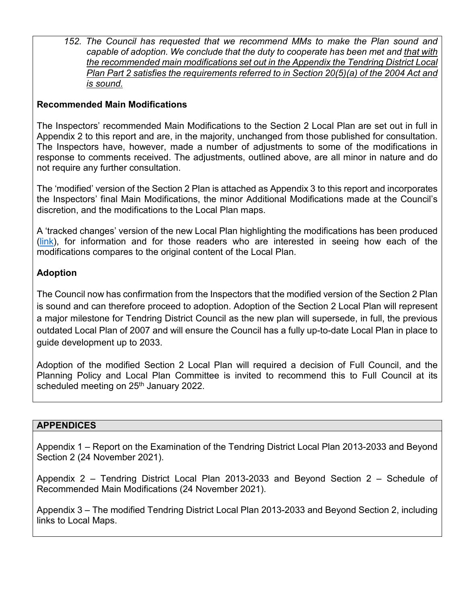*152. The Council has requested that we recommend MMs to make the Plan sound and capable of adoption. We conclude that the duty to cooperate has been met and that with the recommended main modifications set out in the Appendix the Tendring District Local Plan Part 2 satisfies the requirements referred to in Section 20(5)(a) of the 2004 Act and is sound.* 

## **Recommended Main Modifications**

The Inspectors' recommended Main Modifications to the Section 2 Local Plan are set out in full in Appendix 2 to this report and are, in the majority, unchanged from those published for consultation. The Inspectors have, however, made a number of adjustments to some of the modifications in response to comments received. The adjustments, outlined above, are all minor in nature and do not require any further consultation.

The 'modified' version of the Section 2 Plan is attached as Appendix 3 to this report and incorporates the Inspectors' final Main Modifications, the minor Additional Modifications made at the Council's discretion, and the modifications to the Local Plan maps.

A 'tracked changes' version of the new Local Plan highlighting the modifications has been produced [\(link\)](https://www.tendringdc.gov.uk/sites/default/files/documents/planning/Planning_Policy/S2Examination/Section%202%20Tracked%20Changes%20-%20Final.pdf), for information and for those readers who are interested in seeing how each of the modifications compares to the original content of the Local Plan.

## **Adoption**

The Council now has confirmation from the Inspectors that the modified version of the Section 2 Plan is sound and can therefore proceed to adoption. Adoption of the Section 2 Local Plan will represent a major milestone for Tendring District Council as the new plan will supersede, in full, the previous outdated Local Plan of 2007 and will ensure the Council has a fully up-to-date Local Plan in place to guide development up to 2033.

Adoption of the modified Section 2 Local Plan will required a decision of Full Council, and the Planning Policy and Local Plan Committee is invited to recommend this to Full Council at its scheduled meeting on 25<sup>th</sup> January 2022.

#### **APPENDICES**

Appendix 1 – Report on the Examination of the Tendring District Local Plan 2013-2033 and Beyond Section 2 (24 November 2021).

Appendix 2 – Tendring District Local Plan 2013-2033 and Beyond Section 2 – Schedule of Recommended Main Modifications (24 November 2021).

Appendix 3 – The modified Tendring District Local Plan 2013-2033 and Beyond Section 2, including links to Local Maps.